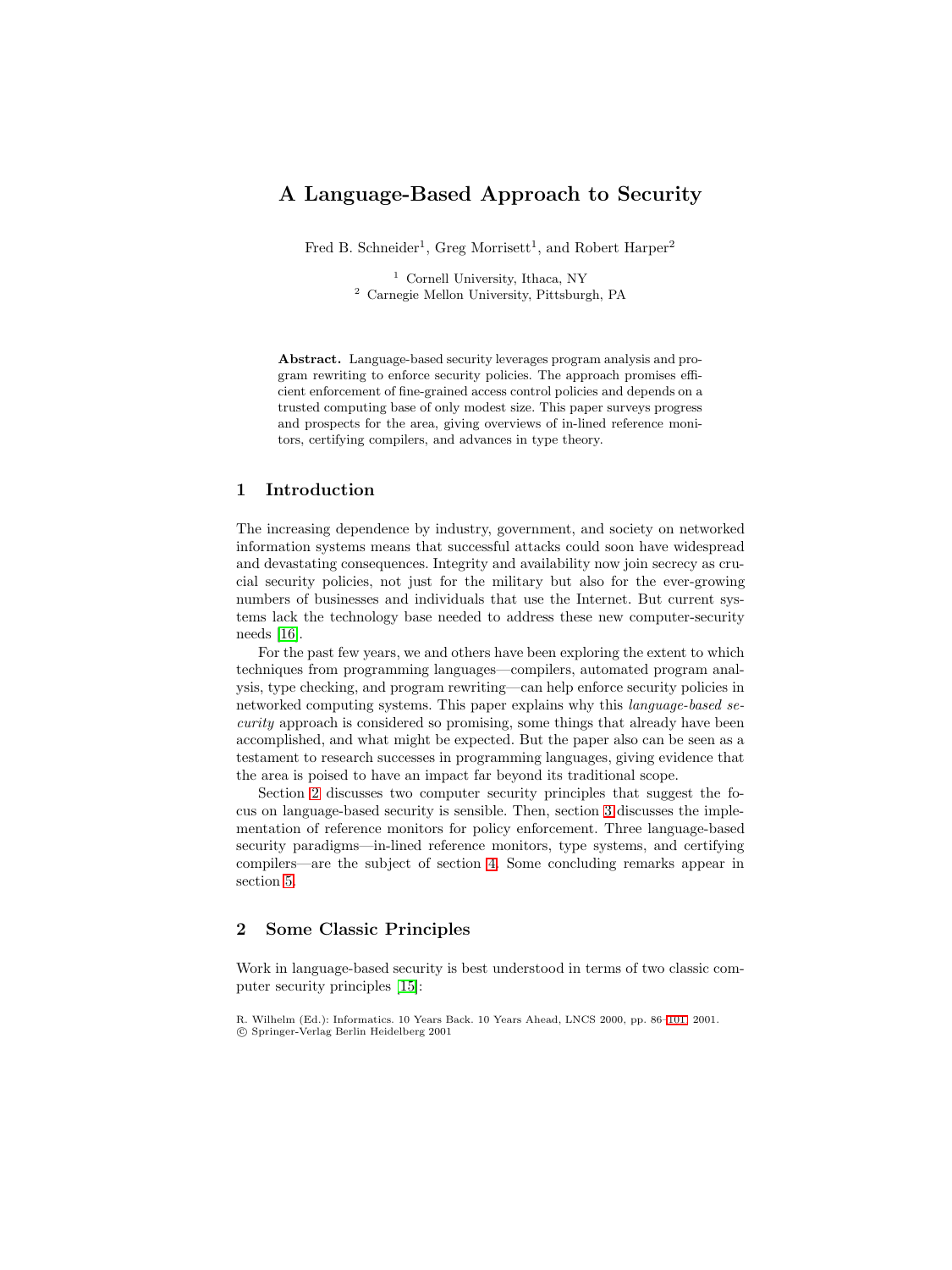# **A Language-Based Approach to Security**

Fred B. Schneider<sup>1</sup>, Greg Morrisett<sup>1</sup>, and Robert Harper<sup>2</sup>

<sup>1</sup> Cornell University, Ithaca, NY <sup>2</sup> Carnegie Mellon University, Pittsburgh, PA

**Abstract.** Language-based security leverages program analysis and program rewriting to enforce security policies. The approach promises efficient enforcement of fine-grained access control policies and depends on a trusted computing base of only modest size. This paper surveys progress and prospects for the area, giving overviews of in-lined reference monitors, certifying compilers, and advances in type theory.

# **1 Introduction**

The increasing dependence by industry, government, and society on networked information systems means that successfulattacks could soon have widespread and devastating consequences. Integrity and availability now join secrecy as crucial security policies, not just for the military but also for the ever-growing numbers of businesses and individuals that use the Internet. But current systems lack the technology base needed to address these new computer-security needs [\[16\]](#page-15-0).

For the past few years, we and others have been exploring the extent to which techniques from programming languages—compilers, automated program analysis, type checking, and program rewriting—can help enforce security policies in networked computing systems. This paper explains why this *language-based security* approach is considered so promising, some things that already have been accomplished, and what might be expected. But the paper also can be seen as a testament to research successes in programming languages, giving evidence that the area is poised to have an impact far beyond its traditional scope.

Section [2](#page-0-0) discusses two computer security principles that suggest the focus on language-based security is sensible. Then, section [3](#page-2-0) discusses the implementation of reference monitors for policy enforcement. Three language-based security paradigms—in-lined reference monitors, type systems, and certifying compilers—are the subject of section [4.](#page-6-0) Some concluding remarks appear in section [5.](#page-13-0)

# <span id="page-0-0"></span>**2 Some Classic Principles**

Work in language-based security is best understood in terms of two classic computer security principles [\[15\]](#page-15-1):

R. Wilhelm (Ed.): Informatics. 10 Years Back. 10 Years Ahead, LNCS 2000, pp. 86[–101,](#page-15-2) 2001. c Springer-Verlag Berlin Heidelberg 2001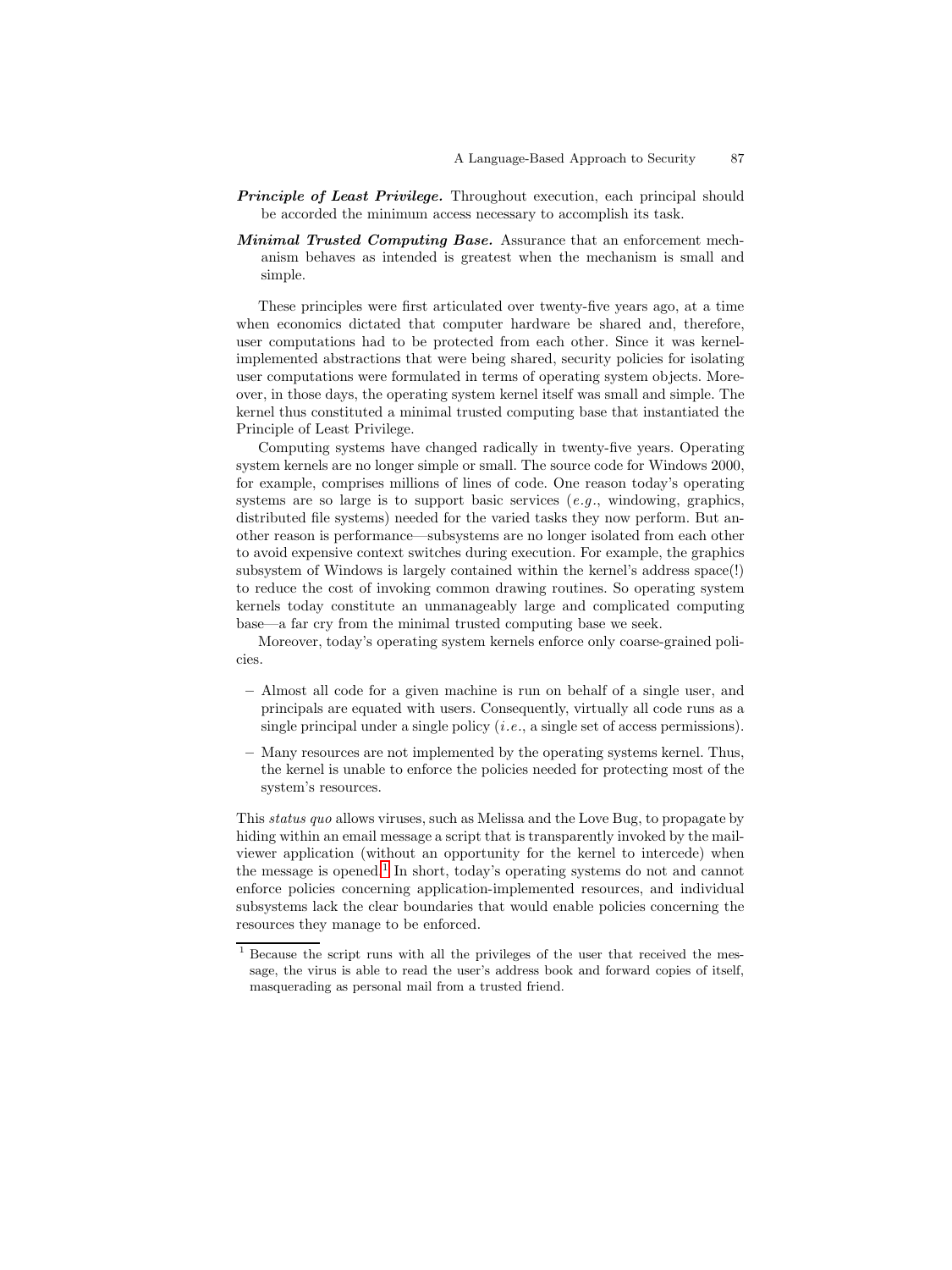- **Principle of Least Privilege.** Throughout execution, each principal should be accorded the minimum access necessary to accomplish its task.
- *Minimal Trusted Computing Base.* Assurance that an enforcement mechanism behaves as intended is greatest when the mechanism is small and simple.

These principles were first articulated over twenty-five years ago, at a time when economics dictated that computer hardware be shared and, therefore, user computations had to be protected from each other. Since it was kernelimplemented abstractions that were being shared, security policies for isolating user computations were formulated in terms of operating system objects. Moreover, in those days, the operating system kernel itself was small and simple. The kernel thus constituted a minimal trusted computing base that instantiated the Principle of Least Privilege.

Computing systems have changed radically in twenty-five years. Operating system kernels are no longer simple or small. The source code for Windows 2000, for example, comprises millions of lines of code. One reason today's operating systems are so large is to support basic services (*e.g.*, windowing, graphics, distributed file systems) needed for the varied tasks they now perform. But another reason is performance—subsystems are no longer isolated from each other to avoid expensive context switches during execution. For example, the graphics subsystem of Windows is largely contained within the kernel's address space(!) to reduce the cost of invoking common drawing routines. So operating system kernels today constitute an unmanageably large and complicated computing base—a far cry from the minimal trusted computing base we seek.

Moreover, today's operating system kernels enforce only coarse-grained policies.

- **–** Almost all code for a given machine is run on behalf of a single user, and principals are equated with users. Consequently, virtually all code runs as a single principal under a single policy (*i .e.*, a single set of access permissions).
- **–** Many resources are not implemented by the operating systems kernel. Thus, the kernel is unable to enforce the policies needed for protecting most of the system's resources.

This *status quo* allows viruses, such as Melissa and the Love Bug, to propagate by hiding within an email message a script that is transparently invoked by the mailviewer application (without an opportunity for the kernel to intercede) when the message is opened.<sup>[1](#page-1-0)</sup> In short, today's operating systems do not and cannot enforce policies concerning application-implemented resources, and individual subsystems lack the clear boundaries that would enable policies concerning the resources they manage to be enforced.

<span id="page-1-0"></span> $1$  Because the script runs with all the privileges of the user that received the message, the virus is able to read the user's address book and forward copies of itself, masquerading as personal mail from a trusted friend.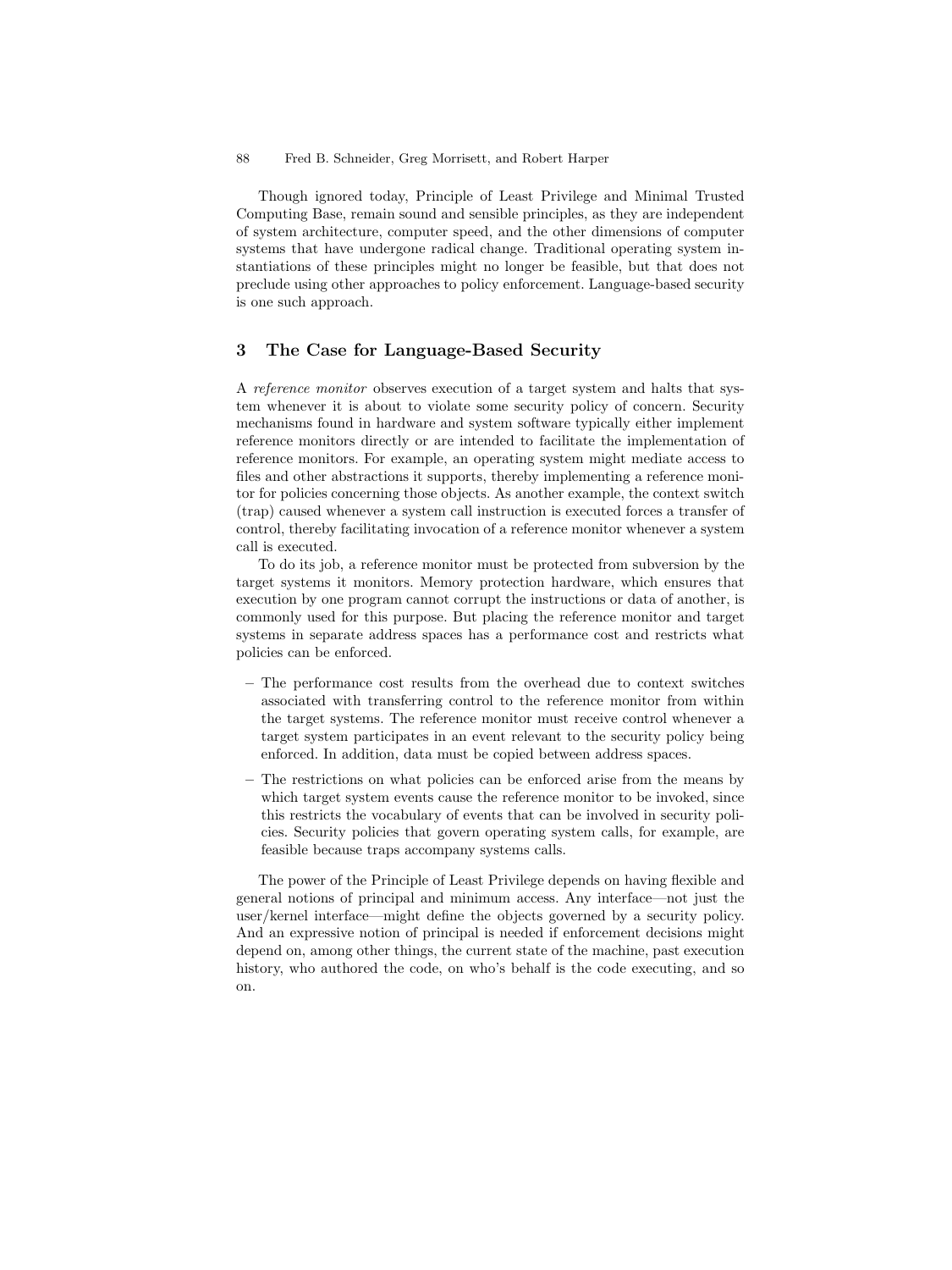Though ignored today, Principle of Least Privilege and Minimal Trusted Computing Base, remain sound and sensible principles, as they are independent of system architecture, computer speed, and the other dimensions of computer systems that have undergone radical change. Traditional operating system instantiations of these principles might no longer be feasible, but that does not preclude using other approaches to policy enforcement. Language-based security is one such approach.

# <span id="page-2-0"></span>**3 The Case for Language-Based Security**

A *reference monitor* observes execution of a target system and halts that system whenever it is about to violate some security policy of concern. Security mechanisms found in hardware and system software typically either implement reference monitors directly or are intended to facilitate the implementation of reference monitors. For example, an operating system might mediate access to files and other abstractions it supports, thereby implementing a reference monitor for policies concerning those objects. As another example, the context switch (trap) caused whenever a system call instruction is executed forces a transfer of control, thereby facilitating invocation of a reference monitor whenever a system call is executed.

To do its job, a reference monitor must be protected from subversion by the target systems it monitors. Memory protection hardware, which ensures that execution by one program cannot corrupt the instructions or data of another, is commonly used for this purpose. But placing the reference monitor and target systems in separate address spaces has a performance cost and restricts what policies can be enforced.

- **–** The performance cost results from the overhead due to context switches associated with transferring control to the reference monitor from within the target systems. The reference monitor must receive controlwhenever a target system participates in an event relevant to the security policy being enforced. In addition, data must be copied between address spaces.
- **–** The restrictions on what policies can be enforced arise from the means by which target system events cause the reference monitor to be invoked, since this restricts the vocabulary of events that can be involved in security policies. Security policies that govern operating system calls, for example, are feasible because traps accompany systems calls.

The power of the Principle of Least Privilege depends on having flexible and general notions of principal and minimum access. Any interface—not just the user/kernel interface—might define the objects governed by a security policy. And an expressive notion of principal is needed if enforcement decisions might depend on, among other things, the current state of the machine, past execution history, who authored the code, on who's behalf is the code executing, and so on.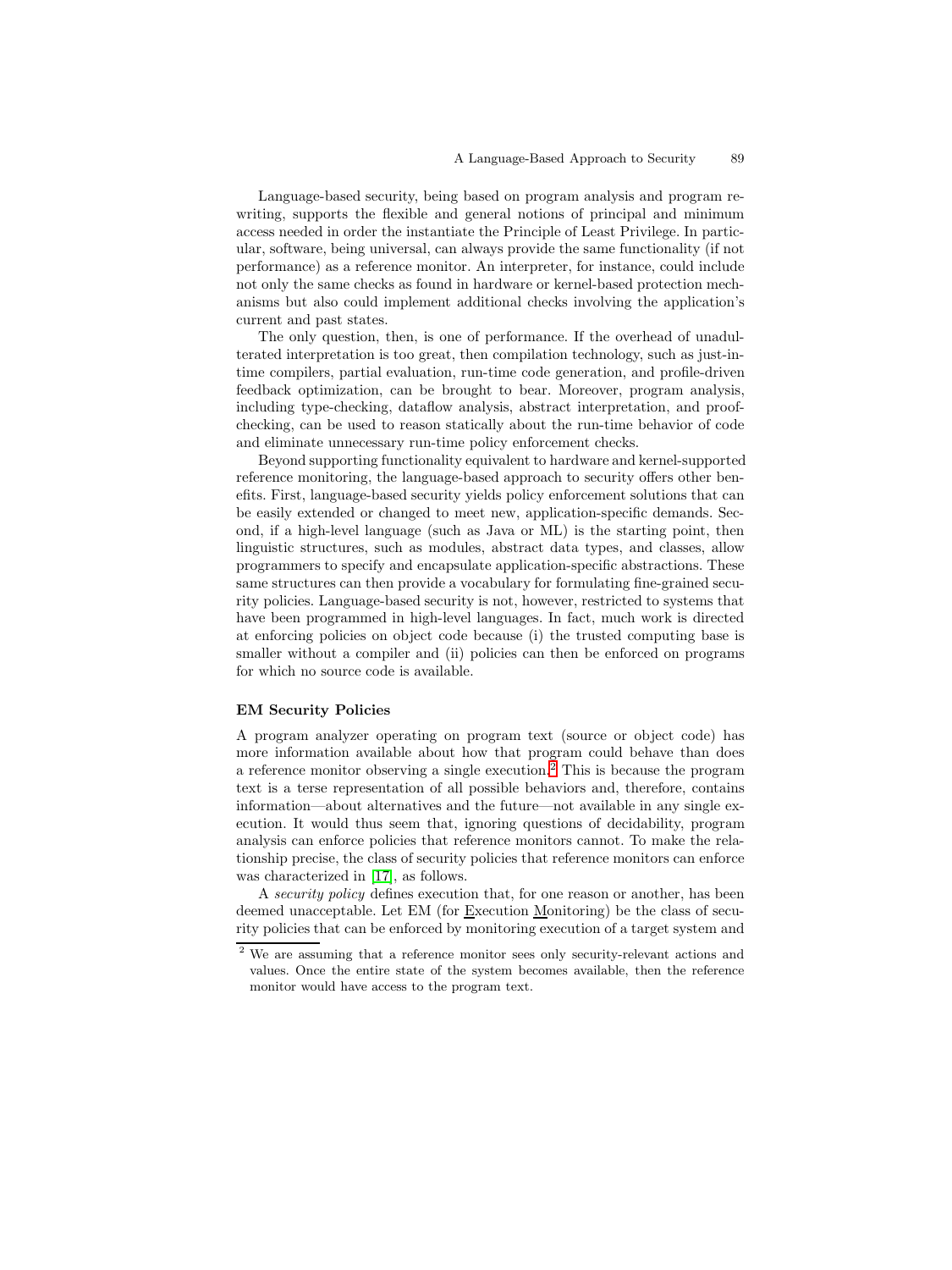Language-based security, being based on program analysis and program rewriting, supports the flexible and general notions of principal and minimum access needed in order the instantiate the Principle of Least Privilege. In particular, software, being universal, can always provide the same functionality (if not performance) as a reference monitor. An interpreter, for instance, could include not only the same checks as found in hardware or kernel-based protection mechanisms but also could implement additional checks involving the application's current and past states.

The only question, then, is one of performance. If the overhead of unadulterated interpretation is too great, then compilation technology, such as just-intime compilers, partial evaluation, run-time code generation, and profile-driven feedback optimization, can be brought to bear. Moreover, program analysis, including type-checking, dataflow analysis, abstract interpretation, and proofchecking, can be used to reason statically about the run-time behavior of code and eliminate unnecessary run-time policy enforcement checks.

Beyond supporting functionality equivalent to hardware and kernel-supported reference monitoring, the language-based approach to security offers other benefits. First, language-based security yields policy enforcement solutions that can be easily extended or changed to meet new, application-specific demands. Second, if a high-level language (such as Java or ML) is the starting point, then linguistic structures, such as modules, abstract data types, and classes, allow programmers to specify and encapsulate application-specific abstractions. These same structures can then provide a vocabulary for formulating fine-grained security policies. Language-based security is not, however, restricted to systems that have been programmed in high-level languages. In fact, much work is directed at enforcing policies on object code because (i) the trusted computing base is smaller without a compiler and (ii) policies can then be enforced on programs for which no source code is available.

### **EM Security Policies**

A program analyzer operating on program text (source or object code) has more information available about how that program could behave than does a reference monitor observing a single execution.[2](#page-3-0) This is because the program text is a terse representation of all possible behaviors and, therefore, contains information—about alternatives and the future—not available in any single execution. It would thus seem that, ignoring questions of decidability, program analysis can enforce policies that reference monitors cannot. To make the relationship precise, the class of security policies that reference monitors can enforce was characterized in [\[17\]](#page-15-3), as follows.

A *security policy* defines execution that, for one reason or another, has been deemed unacceptable. Let EM (for  $E$ xecution Monitoring) be the class of security policies that can be enforced by monitoring execution of a target system and

<span id="page-3-0"></span> $^{\rm 2}$  We are assuming that a reference monitor sees only security-relevant actions and values. Once the entire state of the system becomes available, then the reference monitor would have access to the program text.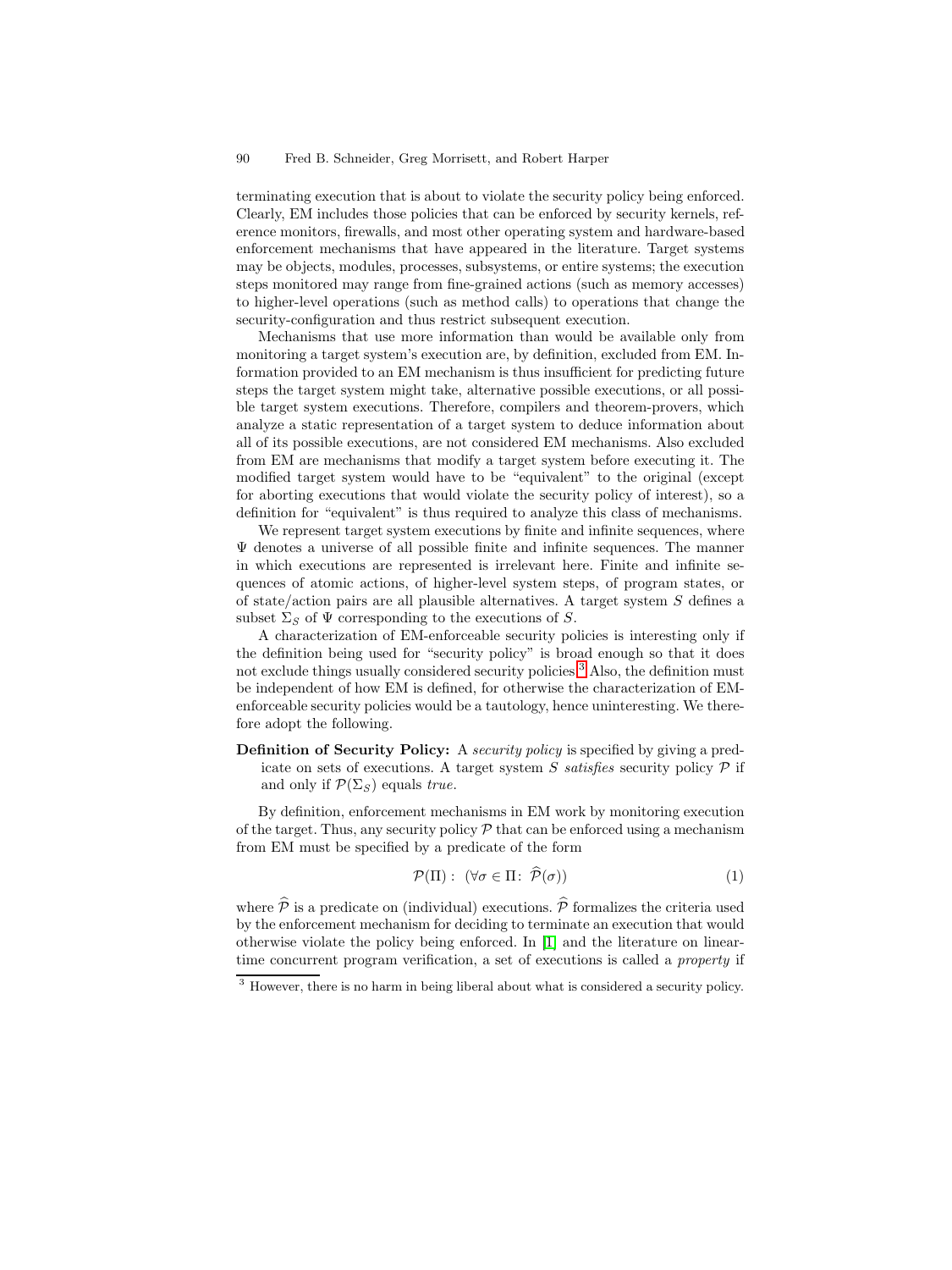terminating execution that is about to violate the security policy being enforced. Clearly, EM includes those policies that can be enforced by security kernels, reference monitors, firewalls, and most other operating system and hardware-based enforcement mechanisms that have appeared in the literature. Target systems may be objects, modules, processes, subsystems, or entire systems; the execution steps monitored may range from fine-grained actions (such as memory accesses) to higher-level operations (such as method calls) to operations that change the security-configuration and thus restrict subsequent execution.

Mechanisms that use more information than would be available only from monitoring a target system's execution are, by definition, excluded from EM. Information provided to an EM mechanism is thus insufficient for predicting future steps the target system might take, alternative possible executions, or all possible target system executions. Therefore, compilers and theorem-provers, which analyze a static representation of a target system to deduce information about all of its possible executions, are not considered EM mechanisms. Also excluded from EM are mechanisms that modify a target system before executing it. The modified target system would have to be "equivalent" to the original (except for aborting executions that would violate the security policy of interest), so a definition for "equivalent" is thus required to analyze this class of mechanisms.

We represent target system executions by finite and infinite sequences, where Ψ denotes a universe of all possible finite and infinite sequences. The manner in which executions are represented is irrelevant here. Finite and infinite sequences of atomic actions, of higher-level system steps, of program states, or of state/action pairs are all plausible alternatives. A target system S defines a subset  $\Sigma_S$  of  $\Psi$  corresponding to the executions of S.

A characterization of EM-enforceable security policies is interesting only if the definition being used for "security policy" is broad enough so that it does not exclude things usually considered security policies.<sup>[3](#page-4-0)</sup> Also, the definition must be independent of how EM is defined, for otherwise the characterization of EMenforceable security policies would be a tautology, hence uninteresting. We therefore adopt the following.

**Definition of Security Policy:** A *security policy* is specified by giving a predicate on sets of executions. A target system S *satisfies* security policy P if and only if  $\mathcal{P}(\Sigma_S)$  equals *true*.

By definition, enforcement mechanisms in EM work by monitoring execution of the target. Thus, any security policy  $P$  that can be enforced using a mechanism from EM must be specified by a predicate of the form

$$
\mathcal{P}(\Pi): (\forall \sigma \in \Pi: \widehat{\mathcal{P}}(\sigma)) \tag{1}
$$

<span id="page-4-1"></span>where  $\hat{\mathcal{P}}$  is a predicate on (individual) executions.  $\hat{\mathcal{P}}$  formalizes the criteria used by the enforcement mechanism for deciding to terminate an execution that would otherwise violate the policy being enforced. In [\[1\]](#page-14-0) and the literature on lineartime concurrent program verification, a set of executions is called a *property* if

<span id="page-4-0"></span><sup>&</sup>lt;sup>3</sup> However, there is no harm in being liberal about what is considered a security policy.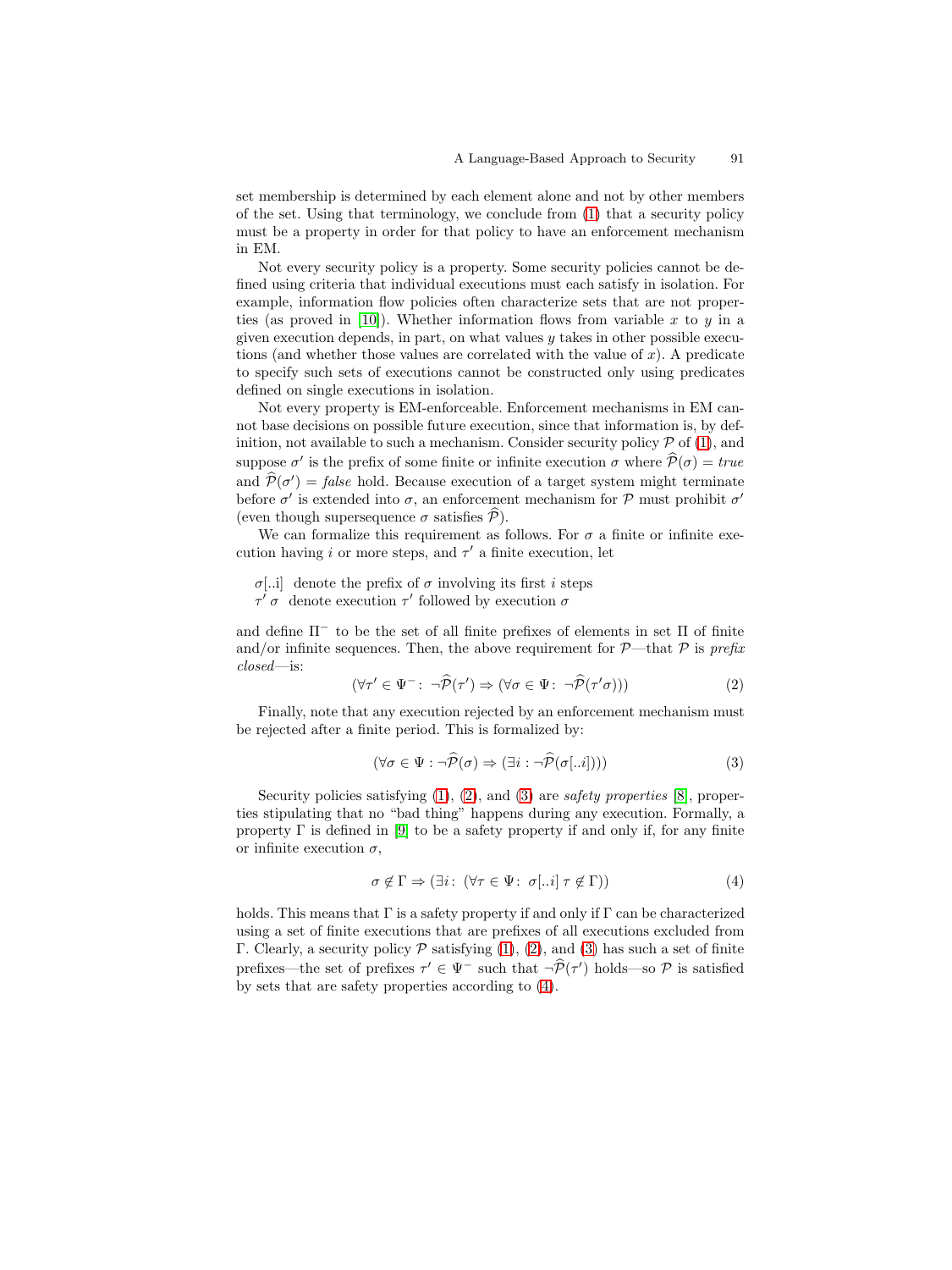set membership is determined by each element alone and not by other members of the set. Using that terminology, we conclude from [\(1\)](#page-4-1) that a security policy must be a property in order for that policy to have an enforcement mechanism in EM.

Not every security policy is a property. Some security policies cannot be defined using criteria that individualexecutions must each satisfy in isolation. For example, information flow policies often characterize sets that are not proper-ties (as proved in [\[10\]](#page-14-1)). Whether information flows from variable x to y in a given execution depends, in part, on what values  $y$  takes in other possible executions (and whether those values are correlated with the value of  $x$ ). A predicate to specify such sets of executions cannot be constructed only using predicates defined on single executions in isolation.

Not every property is EM-enforceable. Enforcement mechanisms in EM cannot base decisions on possible future execution, since that information is, by definition, not available to such a mechanism. Consider security policy  $P$  of [\(1\)](#page-4-1), and suppose  $\sigma'$  is the prefix of some finite or infinite execution  $\sigma$  where  $\mathcal{P}(\sigma) = true$ and  $\mathcal{P}(\sigma') = \text{false}$  hold. Because execution of a target system might terminate before  $\sigma'$  is extended into  $\sigma$ , an enforcement mechanism for  $P$  must prohibit  $\sigma'$ (even though supersequence  $\sigma$  satisfies  $\widehat{\mathcal{P}}$ ).

We can formalize this requirement as follows. For  $\sigma$  a finite or infinite execution having *i* or more steps, and  $\tau'$  a finite execution, let

- σ[..i] denote the prefix of σ involving its first i steps
- $\tau'$   $\sigma$  denote execution  $\tau'$  followed by execution  $\sigma$

and define  $\Pi^-$  to be the set of all finite prefixes of elements in set  $\Pi$  of finite and/or infinite sequences. Then, the above requirement for  $P$ —that  $P$  is *prefix closed*—is:

$$
(\forall \tau' \in \Psi^- : \neg \widehat{\mathcal{P}}(\tau') \Rightarrow (\forall \sigma \in \Psi : \neg \widehat{\mathcal{P}}(\tau' \sigma))) \tag{2}
$$

<span id="page-5-0"></span>Finally, note that any execution rejected by an enforcement mechanism must be rejected after a finite period. This is formalized by:

$$
(\forall \sigma \in \Psi : \neg \widehat{\mathcal{P}}(\sigma) \Rightarrow (\exists i : \neg \widehat{\mathcal{P}}(\sigma[..i]))) \tag{3}
$$

<span id="page-5-1"></span>Security policies satisfying [\(1\)](#page-4-1), [\(2\)](#page-5-0), and [\(3\)](#page-5-1) are *safety properties* [\[8\]](#page-14-2), properties stipulating that no "bad thing" happens during any execution. Formally, a property  $\Gamma$  is defined in [\[9\]](#page-14-3) to be a safety property if and only if, for any finite or infinite execution  $\sigma$ ,

$$
\sigma \notin \Gamma \Rightarrow (\exists i: (\forall \tau \in \Psi \colon \sigma[..i] \tau \notin \Gamma)) \tag{4}
$$

<span id="page-5-2"></span>holds. This means that  $\Gamma$  is a safety property if and only if  $\Gamma$  can be characterized using a set of finite executions that are prefixes of all executions excluded from Γ. Clearly, a security policy  $P$  satisfying [\(1\)](#page-4-1), [\(2\)](#page-5-0), and [\(3\)](#page-5-1) has such a set of finite prefixes—the set of prefixes  $\tau' \in \Psi^-$  such that  $\neg \mathcal{P}(\tau')$  holds—so  $\mathcal P$  is satisfied<br>by sets that are sefaty properties associating to (4) by sets that are safety properties according to [\(4\)](#page-5-2).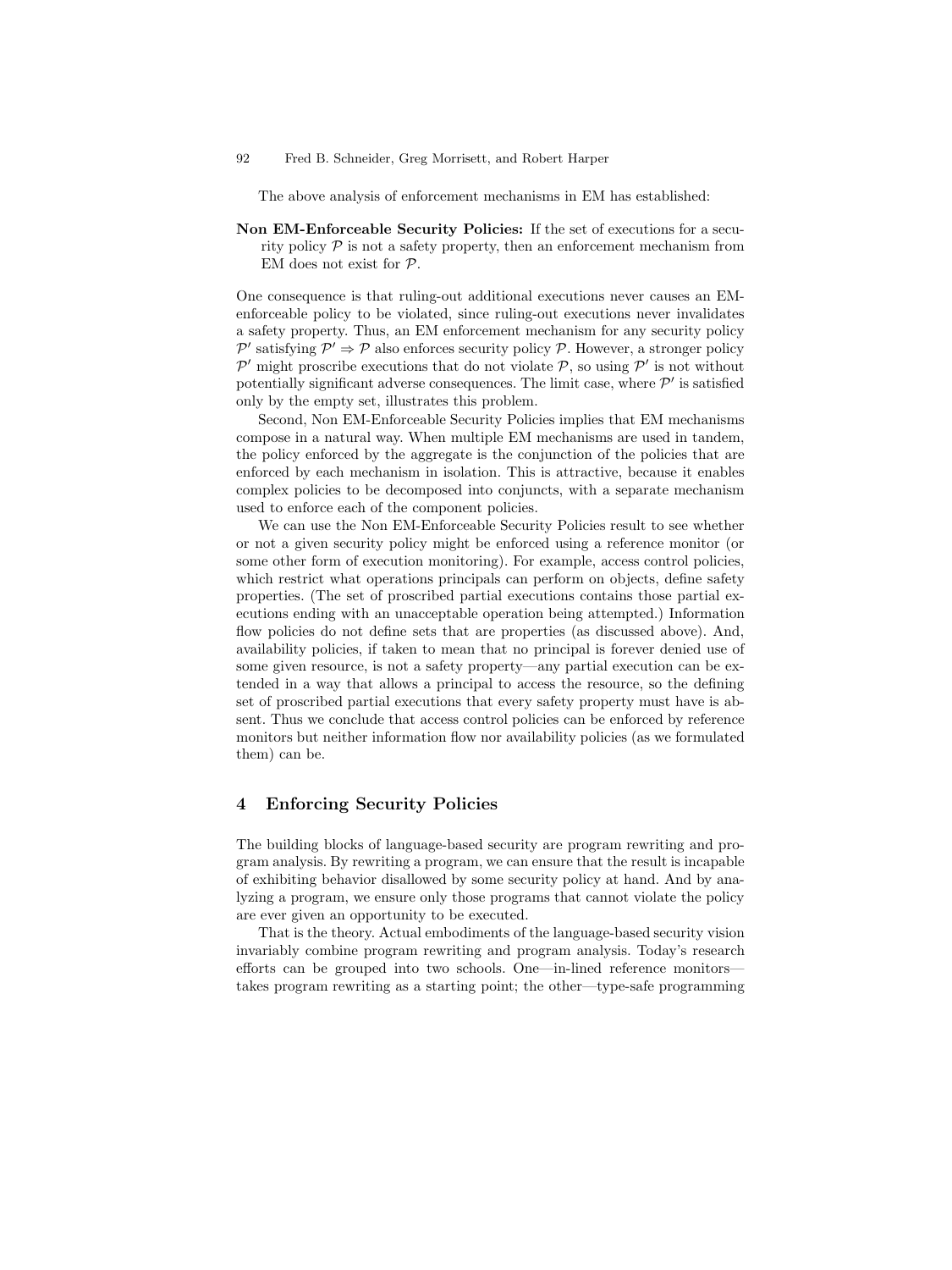The above analysis of enforcement mechanisms in EM has established:

**Non EM-Enforceable Security Policies:** If the set of executions for a security policy  $P$  is not a safety property, then an enforcement mechanism from EM does not exist for P.

One consequence is that ruling-out additional executions never causes an EMenforceable policy to be violated, since ruling-out executions never invalidates a safety property. Thus, an EM enforcement mechanism for any security policy  $\mathcal{P}'$  satisfying  $\mathcal{P}' \Rightarrow \mathcal{P}$  also enforces security policy  $\mathcal{P}$ . However, a stronger policy  $\mathcal{P}'$  might proscribe executions that do not violate  $\mathcal{P}$ , so using  $\mathcal{P}'$  is not without potentially significant adverse consequences. The limit case, where  $\mathcal{P}'$  is satisfied only by the empty set, illustrates this problem.

Second, Non EM-Enforceable Security Policies implies that EM mechanisms compose in a natural way. When multiple EM mechanisms are used in tandem, the policy enforced by the aggregate is the conjunction of the policies that are enforced by each mechanism in isolation. This is attractive, because it enables complex policies to be decomposed into conjuncts, with a separate mechanism used to enforce each of the component policies.

We can use the Non EM-Enforceable Security Policies result to see whether or not a given security policy might be enforced using a reference monitor (or some other form of execution monitoring). For example, access control policies, which restrict what operations principals can perform on objects, define safety properties. (The set of proscribed partial executions contains those partial executions ending with an unacceptable operation being attempted.) Information flow policies do not define sets that are properties (as discussed above). And, availability policies, if taken to mean that no principal is forever denied use of some given resource, is not a safety property—any partial execution can be extended in a way that allows a principal to access the resource, so the defining set of proscribed partial executions that every safety property must have is absent. Thus we conclude that access control policies can be enforced by reference monitors but neither information flow nor availability policies (as we formulated them) can be.

# <span id="page-6-0"></span>**4 Enforcing Security Policies**

The building blocks of language-based security are program rewriting and program analysis. By rewriting a program, we can ensure that the result is incapable of exhibiting behavior disallowed by some security policy at hand. And by analyzing a program, we ensure only those programs that cannot violate the policy are ever given an opportunity to be executed.

That is the theory. Actual embodiments of the language-based security vision invariably combine program rewriting and program analysis. Today's research efforts can be grouped into two schools. One—in-lined reference monitors takes program rewriting as a starting point; the other—type-safe programming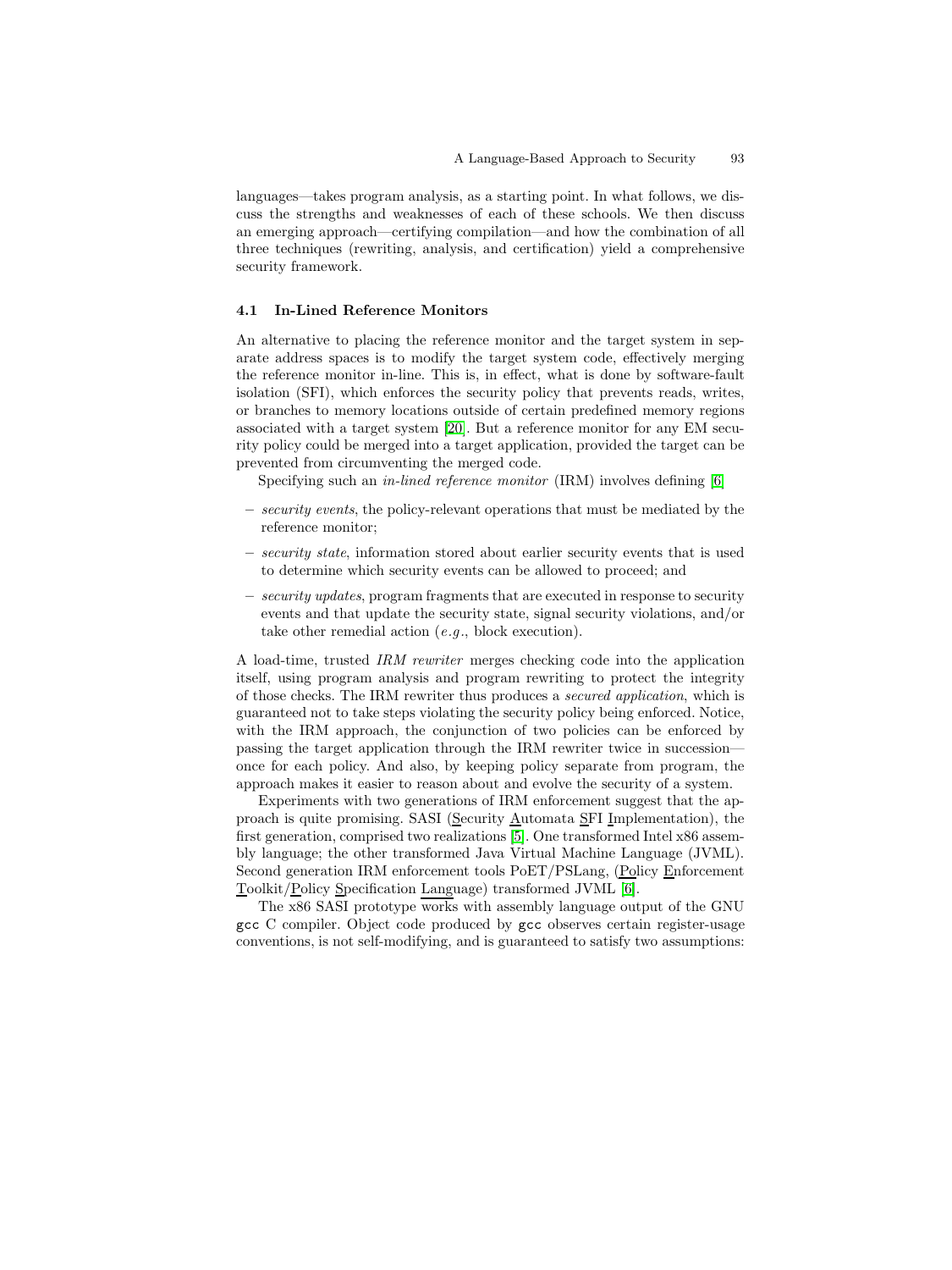languages—takes program analysis, as a starting point. In what follows, we discuss the strengths and weaknesses of each of these schools. We then discuss an emerging approach—certifying compilation—and how the combination of all three techniques (rewriting, analysis, and certification) yield a comprehensive security framework.

### **4.1 In-Lined Reference Monitors**

An alternative to placing the reference monitor and the target system in separate address spaces is to modify the target system code, effectively merging the reference monitor in-line. This is, in effect, what is done by software-fault isolation (SFI), which enforces the security policy that prevents reads, writes, or branches to memory locations outside of certain predefined memory regions associated with a target system [\[20\]](#page-15-4). But a reference monitor for any EM security policy could be merged into a target application, provided the target can be prevented from circumventing the merged code.

Specifying such an *in-lined reference monitor* (IRM) involves defining [\[6\]](#page-14-4)

- **–** *security events*, the policy-relevant operations that must be mediated by the reference monitor;
- **–** *security state*, information stored about earlier security events that is used to determine which security events can be allowed to proceed; and
- **–** *security updates*, program fragments that are executed in response to security events and that update the security state, signal security violations, and/or take other remedial action  $(e.g., block)$

A load-time, trusted *IRM rewriter* merges checking code into the application itself, using program analysis and program rewriting to protect the integrity of those checks. The IRM rewriter thus produces a *secured application*, which is guaranteed not to take steps violating the security policy being enforced. Notice, with the IRM approach, the conjunction of two policies can be enforced by passing the target application through the IRM rewriter twice in succession once for each policy. And also, by keeping policy separate from program, the approach makes it easier to reason about and evolve the security of a system.

Experiments with two generations of IRM enforcement suggest that the approach is quite promising. SASI (Security Automata SFI Implementation), the first generation, comprised two realizations [\[5\]](#page-14-5). One transformed Intel x86 assembly language; the other transformed Java Virtual Machine Language (JVML). Second generation IRM enforcement tools PoET/PSLang, (Policy Enforcement Toolkit/Policy Specification Language) transformed JVML [\[6\]](#page-14-4).

The x86 SASI prototype works with assembly language output of the GNU gcc C compiler. Object code produced by gcc observes certain register-usage conventions, is not self-modifying, and is guaranteed to satisfy two assumptions: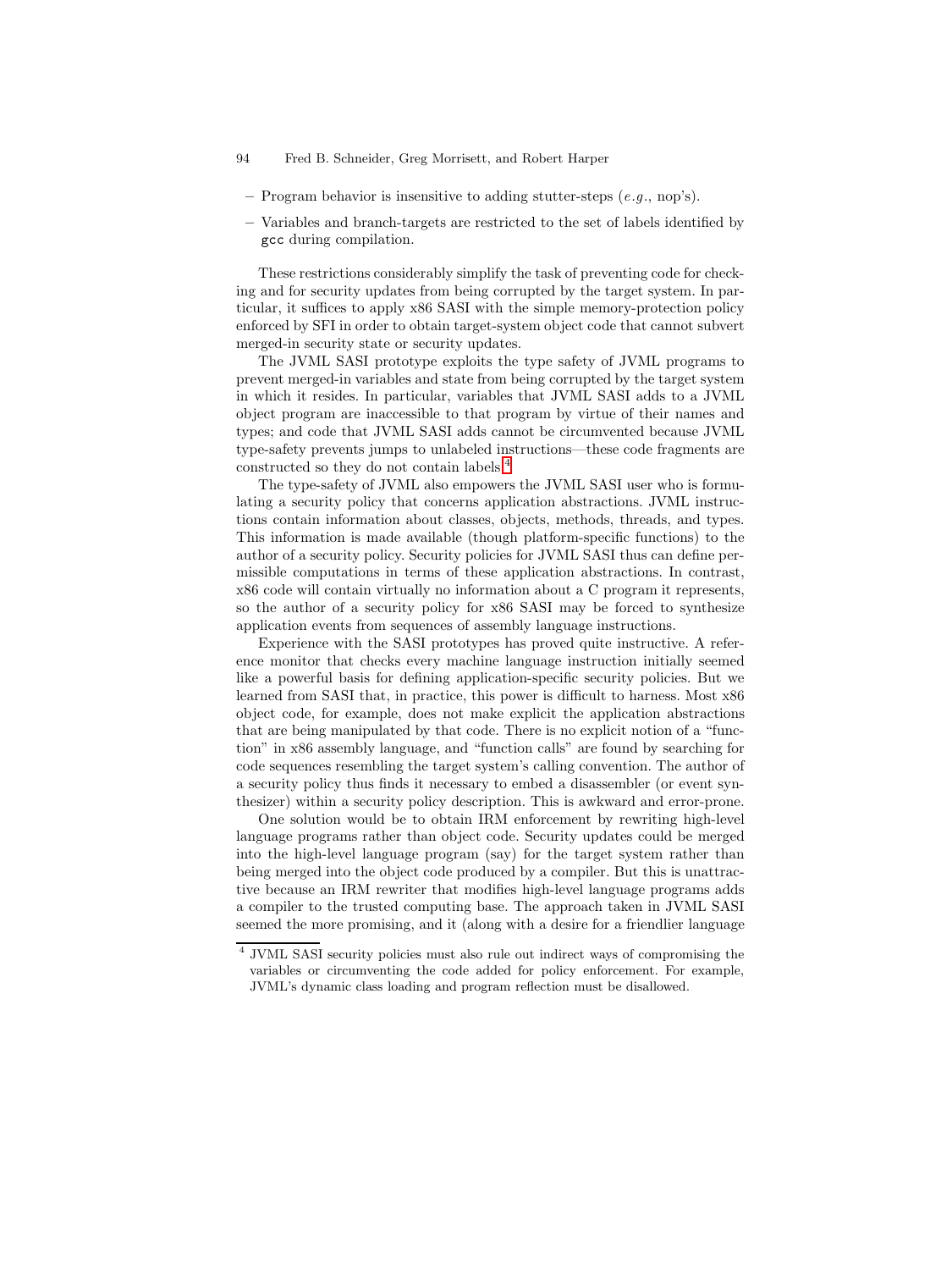- 94 Fred B. Schneider, Greg Morrisett, and Robert Harper
- **–** Program behavior is insensitive to adding stutter-steps (*e.g .*, nop's).
- **–** Variables and branch-targets are restricted to the set of labels identified by gcc during compilation.

These restrictions considerably simplify the task of preventing code for checking and for security updates from being corrupted by the target system. In particular, it suffices to apply x86 SASI with the simple memory-protection policy enforced by SFI in order to obtain target-system object code that cannot subvert merged-in security state or security updates.

The JVML SASI prototype exploits the type safety of JVML programs to prevent merged-in variables and state from being corrupted by the target system in which it resides. In particular, variables that JVML SASI adds to a JVML object program are inaccessible to that program by virtue of their names and types; and code that JVML SASI adds cannot be circumvented because JVML type-safety prevents jumps to unlabeled instructions—these code fragments are constructed so they do not contain labels.[4](#page-8-0)

The type-safety of JVML also empowers the JVML SASI user who is formulating a security policy that concerns application abstractions. JVML instructions contain information about classes, objects, methods, threads, and types. This information is made available (though platform-specific functions) to the author of a security policy. Security policies for JVML SASI thus can define permissible computations in terms of these application abstractions. In contrast, x86 code will contain virtually no information about a C program it represents, so the author of a security policy for x86 SASI may be forced to synthesize application events from sequences of assembly language instructions.

Experience with the SASI prototypes has proved quite instructive. A reference monitor that checks every machine language instruction initially seemed like a powerful basis for defining application-specific security policies. But we learned from SASI that, in practice, this power is difficult to harness. Most x86 object code, for example, does not make explicit the application abstractions that are being manipulated by that code. There is no explicit notion of a "function" in x86 assembly language, and "function calls" are found by searching for code sequences resembling the target system's calling convention. The author of a security policy thus finds it necessary to embed a disassembler (or event synthesizer) within a security policy description. This is awkward and error-prone.

One solution would be to obtain IRM enforcement by rewriting high-level language programs rather than object code. Security updates could be merged into the high-level language program (say) for the target system rather than being merged into the object code produced by a compiler. But this is unattractive because an IRM rewriter that modifies high-level language programs adds a compiler to the trusted computing base. The approach taken in JVML SASI seemed the more promising, and it (along with a desire for a friendlier language

<span id="page-8-0"></span> $^4$  JVML SASI security policies must also rule out indirect ways of compromising the  $\,$ variables or circumventing the code added for policy enforcement. For example, JVML's dynamic class loading and program reflection must be disallowed.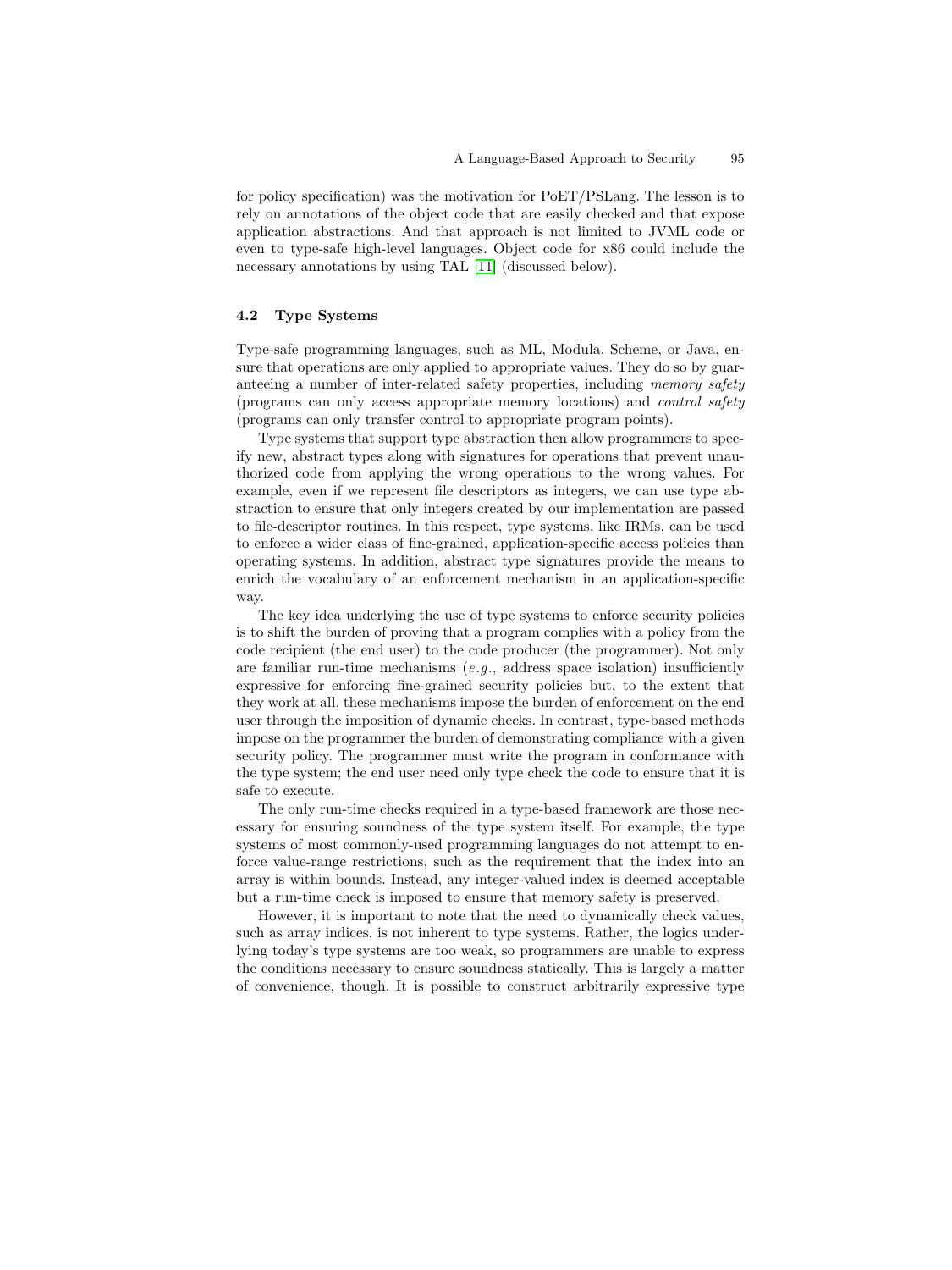for policy specification) was the motivation for PoET/PSLang. The lesson is to rely on annotations of the object code that are easily checked and that expose application abstractions. And that approach is not limited to JVML code or even to type-safe high-level languages. Object code for x86 could include the necessary annotations by using TAL [\[11\]](#page-14-6) (discussed below).

#### **4.2 Type Systems**

Type-safe programming languages, such as ML, Modula, Scheme, or Java, ensure that operations are only applied to appropriate values. They do so by guaranteeing a number of inter-related safety properties, including *memory safety* (programs can only access appropriate memory locations) and *control safety* (programs can only transfer control to appropriate program points).

Type systems that support type abstraction then allow programmers to specify new, abstract types along with signatures for operations that prevent unauthorized code from applying the wrong operations to the wrong values. For example, even if we represent file descriptors as integers, we can use type abstraction to ensure that only integers created by our implementation are passed to file-descriptor routines. In this respect, type systems, like IRMs, can be used to enforce a wider class of fine-grained, application-specific access policies than operating systems. In addition, abstract type signatures provide the means to enrich the vocabulary of an enforcement mechanism in an application-specific way.

The key idea underlying the use of type systems to enforce security policies is to shift the burden of proving that a program complies with a policy from the code recipient (the end user) to the code producer (the programmer). Not only are familiar run-time mechanisms (*e.g .*, address space isolation) insufficiently expressive for enforcing fine-grained security policies but, to the extent that they work at all, these mechanisms impose the burden of enforcement on the end user through the imposition of dynamic checks. In contrast, type-based methods impose on the programmer the burden of demonstrating compliance with a given security policy. The programmer must write the program in conformance with the type system; the end user need only type check the code to ensure that it is safe to execute.

The only run-time checks required in a type-based framework are those necessary for ensuring soundness of the type system itself. For example, the type systems of most commonly-used programming languages do not attempt to enforce value-range restrictions, such as the requirement that the index into an array is within bounds. Instead, any integer-valued index is deemed acceptable but a run-time check is imposed to ensure that memory safety is preserved.

However, it is important to note that the need to dynamically check values, such as array indices, is not inherent to type systems. Rather, the logics underlying today's type systems are too weak, so programmers are unable to express the conditions necessary to ensure soundness statically. This is largely a matter of convenience, though. It is possible to construct arbitrarily expressive type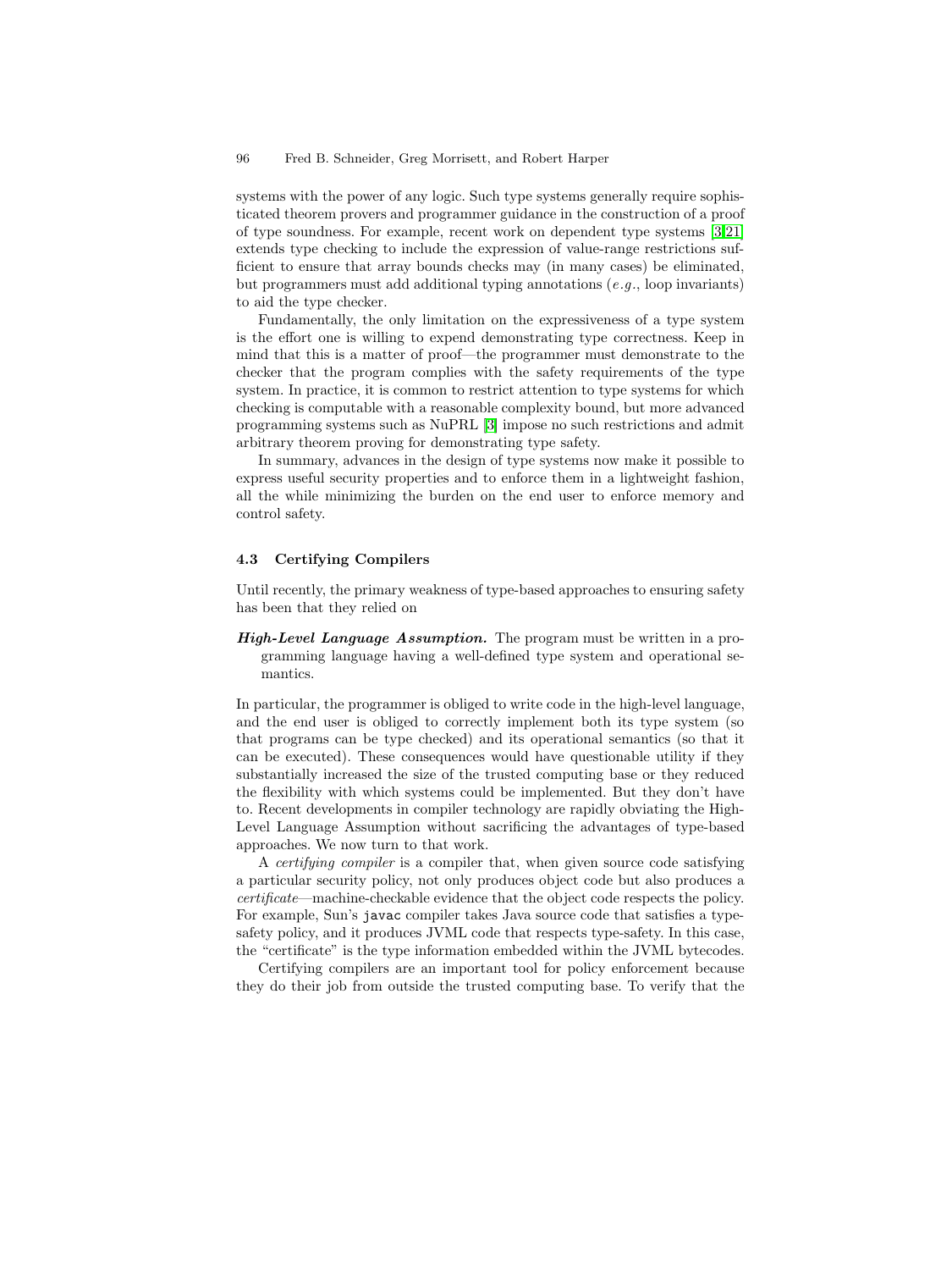systems with the power of any logic. Such type systems generally require sophisticated theorem provers and programmer guidance in the construction of a proof of type soundness. For example, recent work on dependent type systems [\[3](#page-14-7)[,21\]](#page-15-5) extends type checking to include the expression of value-range restrictions sufficient to ensure that array bounds checks may (in many cases) be eliminated, but programmers must add additionaltyping annotations (*e.g .*, loop invariants) to aid the type checker.

Fundamentally, the only limitation on the expressiveness of a type system is the effort one is willing to expend demonstrating type correctness. Keep in mind that this is a matter of proof—the programmer must demonstrate to the checker that the program complies with the safety requirements of the type system. In practice, it is common to restrict attention to type systems for which checking is computable with a reasonable complexity bound, but more advanced programming systems such as NuPRL [\[3\]](#page-14-7) impose no such restrictions and admit arbitrary theorem proving for demonstrating type safety.

In summary, advances in the design of type systems now make it possible to express useful security properties and to enforce them in a lightweight fashion, all the while minimizing the burden on the end user to enforce memory and control safety.

### **4.3 Certifying Compilers**

Until recently, the primary weakness of type-based approaches to ensuring safety has been that they relied on

*High-Level Language Assumption.* The program must be written in a programming language having a well-defined type system and operational semantics.

In particular, the programmer is obliged to write code in the high-level language, and the end user is obliged to correctly implement both its type system (so that programs can be type checked) and its operationalsemantics (so that it can be executed). These consequences would have questionable utility if they substantially increased the size of the trusted computing base or they reduced the flexibility with which systems could be implemented. But they don't have to. Recent developments in compiler technology are rapidly obviating the High-Level Language Assumption without sacrificing the advantages of type-based approaches. We now turn to that work.

A *certifying compiler* is a compiler that, when given source code satisfying a particular security policy, not only produces object code but also produces a *certificate*—machine-checkable evidence that the object code respects the policy. For example, Sun's javac compiler takes Java source code that satisfies a typesafety policy, and it produces JVML code that respects type-safety. In this case, the "certificate" is the type information embedded within the JVML bytecodes.

Certifying compilers are an important tool for policy enforcement because they do their job from outside the trusted computing base. To verify that the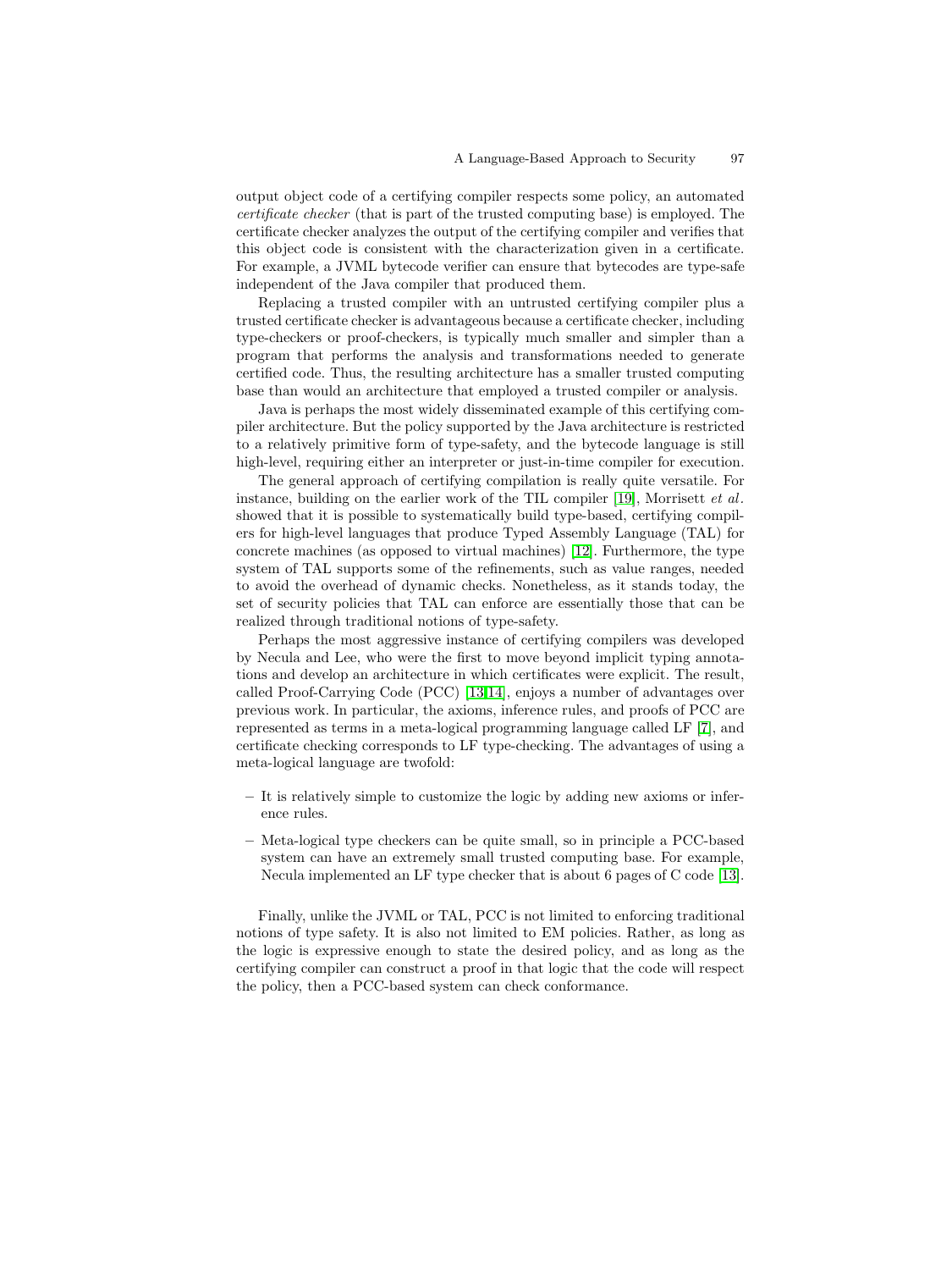output object code of a certifying compiler respects some policy, an automated *certificate checker* (that is part of the trusted computing base) is employed. The certificate checker analyzes the output of the certifying compiler and verifies that this object code is consistent with the characterization given in a certificate. For example, a JVML bytecode verifier can ensure that bytecodes are type-safe independent of the Java compiler that produced them.

Replacing a trusted compiler with an untrusted certifying compiler plus a trusted certificate checker is advantageous because a certificate checker, including type-checkers or proof-checkers, is typically much smaller and simpler than a program that performs the analysis and transformations needed to generate certified code. Thus, the resulting architecture has a smaller trusted computing base than would an architecture that employed a trusted compiler or analysis.

Java is perhaps the most widely disseminated example of this certifying compiler architecture. But the policy supported by the Java architecture is restricted to a relatively primitive form of type-safety, and the bytecode language is still high-level, requiring either an interpreter or just-in-time compiler for execution.

The general approach of certifying compilation is really quite versatile. For instance, building on the earlier work of the TIL compiler [\[19\]](#page-15-6), Morrisett *et al .* showed that it is possible to systematically build type-based, certifying compilers for high-level languages that produce Typed Assembly Language (TAL) for concrete machines (as opposed to virtualmachines) [\[12\]](#page-14-8). Furthermore, the type system of TAL supports some of the refinements, such as value ranges, needed to avoid the overhead of dynamic checks. Nonetheless, as it stands today, the set of security policies that TAL can enforce are essentially those that can be realized through traditional notions of type-safety.

Perhaps the most aggressive instance of certifying compilers was developed by Necula and Lee, who were the first to move beyond implicit typing annotations and develop an architecture in which certificates were explicit. The result, called Proof-Carrying Code (PCC) [\[13](#page-15-7)[,14\]](#page-15-8), enjoys a number of advantages over previous work. In particular, the axioms, inference rules, and proofs of PCC are represented as terms in a meta-logical programming language called LF [\[7\]](#page-14-9), and certificate checking corresponds to LF type-checking. The advantages of using a meta-logical language are twofold:

- **–** It is relatively simple to customize the logic by adding new axioms or inference rules.
- **–** Meta-logical type checkers can be quite small, so in principle a PCC-based system can have an extremely small trusted computing base. For example, Necula implemented an LF type checker that is about 6 pages of C code [\[13\]](#page-15-7).

Finally, unlike the JVML or TAL, PCC is not limited to enforcing traditional notions of type safety. It is also not limited to EM policies. Rather, as long as the logic is expressive enough to state the desired policy, and as long as the certifying compiler can construct a proof in that logic that the code will respect the policy, then a PCC-based system can check conformance.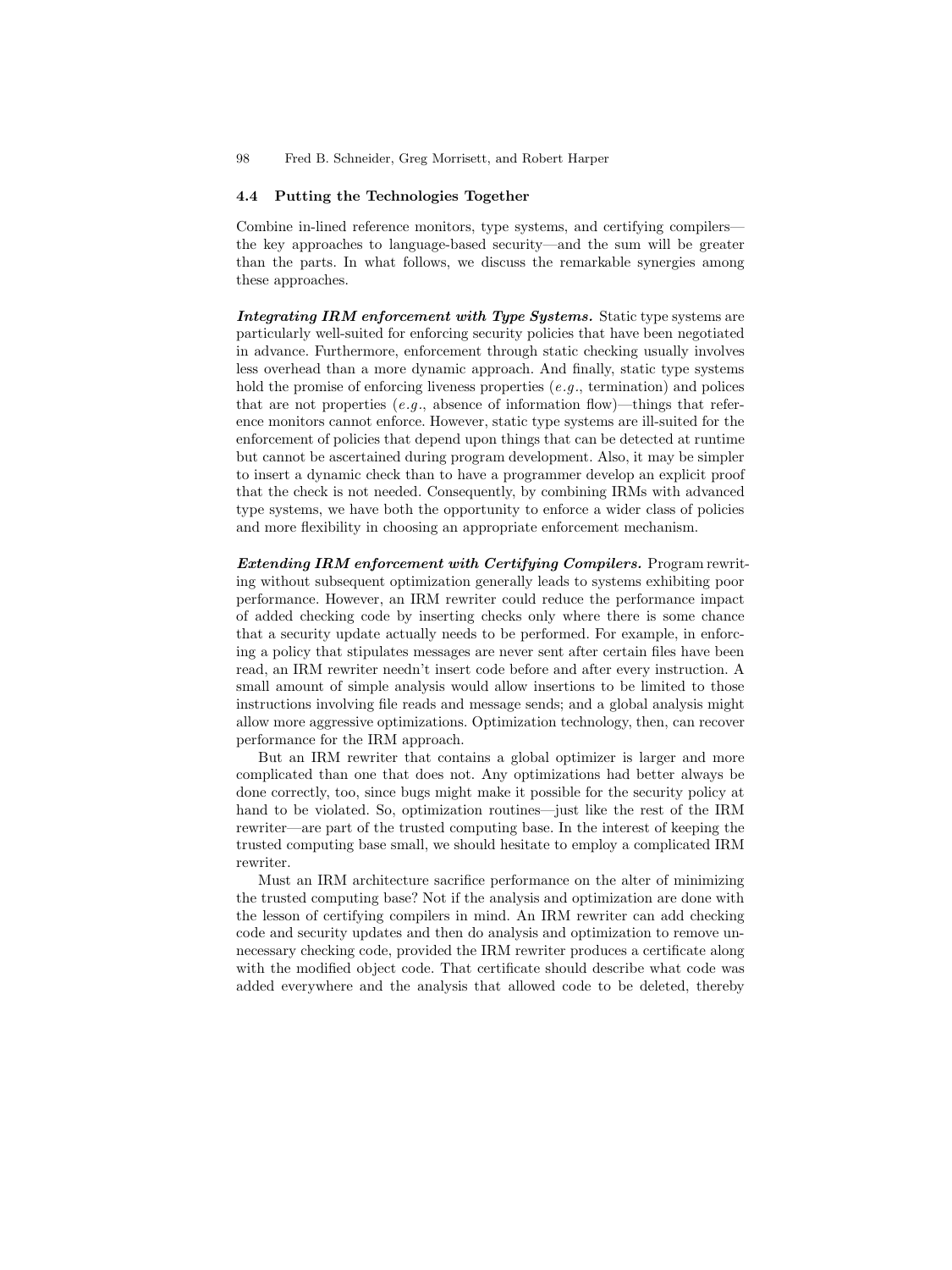### **4.4 Putting the Technologies Together**

Combine in-lined reference monitors, type systems, and certifying compilers the key approaches to language-based security—and the sum will be greater than the parts. In what follows, we discuss the remarkable synergies among these approaches.

*Integrating IRM enforcement with Type Systems.* Static type systems are particularly well-suited for enforcing security policies that have been negotiated in advance. Furthermore, enforcement through static checking usually involves less overhead than a more dynamic approach. And finally, static type systems hold the promise of enforcing liveness properties (*e.g .*, termination) and polices that are not properties  $(e.g.,$  absence of information flow)—things that reference monitors cannot enforce. However, static type systems are ill-suited for the enforcement of policies that depend upon things that can be detected at runtime but cannot be ascertained during program development. Also, it may be simpler to insert a dynamic check than to have a programmer develop an explicit proof that the check is not needed. Consequently, by combining IRMs with advanced type systems, we have both the opportunity to enforce a wider class of policies and more flexibility in choosing an appropriate enforcement mechanism.

*Extending IRM enforcement with Certifying Compilers.* Program rewriting without subsequent optimization generally leads to systems exhibiting poor performance. However, an IRM rewriter could reduce the performance impact of added checking code by inserting checks only where there is some chance that a security update actually needs to be performed. For example, in enforcing a policy that stipulates messages are never sent after certain files have been read, an IRM rewriter needn't insert code before and after every instruction. A small amount of simple analysis would allow insertions to be limited to those instructions involving file reads and message sends; and a global analysis might allow more aggressive optimizations. Optimization technology, then, can recover performance for the IRM approach.

But an IRM rewriter that contains a global optimizer is larger and more complicated than one that does not. Any optimizations had better always be done correctly, too, since bugs might make it possible for the security policy at hand to be violated. So, optimization routines—just like the rest of the IRM rewriter—are part of the trusted computing base. In the interest of keeping the trusted computing base small, we should hesitate to employ a complicated IRM rewriter.

Must an IRM architecture sacrifice performance on the alter of minimizing the trusted computing base? Not if the analysis and optimization are done with the lesson of certifying compilers in mind. An IRM rewriter can add checking code and security updates and then do analysis and optimization to remove unnecessary checking code, provided the IRM rewriter produces a certificate along with the modified object code. That certificate should describe what code was added everywhere and the analysis that allowed code to be deleted, thereby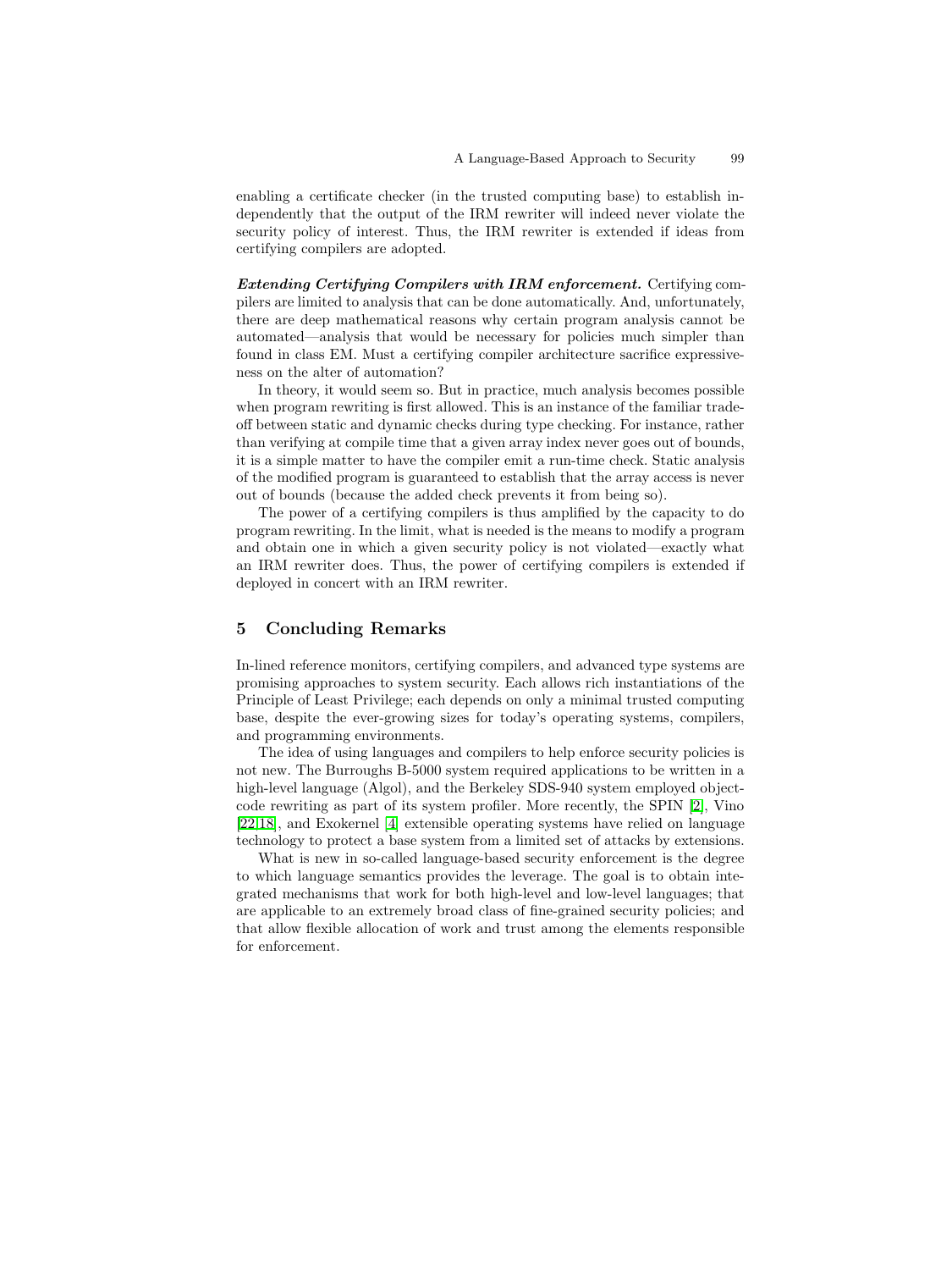enabling a certificate checker (in the trusted computing base) to establish independently that the output of the IRM rewriter will indeed never violate the security policy of interest. Thus, the IRM rewriter is extended if ideas from certifying compilers are adopted.

*Extending Certifying Compilers with IRM enforcement.* Certifying compilers are limited to analysis that can be done automatically. And, unfortunately, there are deep mathematical reasons why certain program analysis cannot be automated—analysis that would be necessary for policies much simpler than found in class EM. Must a certifying compiler architecture sacrifice expressiveness on the alter of automation?

In theory, it would seem so. But in practice, much analysis becomes possible when program rewriting is first allowed. This is an instance of the familiar tradeoff between static and dynamic checks during type checking. For instance, rather than verifying at compile time that a given array index never goes out of bounds, it is a simple matter to have the compiler emit a run-time check. Static analysis of the modified program is guaranteed to establish that the array access is never out of bounds (because the added check prevents it from being so).

The power of a certifying compilers is thus amplified by the capacity to do program rewriting. In the limit, what is needed is the means to modify a program and obtain one in which a given security policy is not violated—exactly what an IRM rewriter does. Thus, the power of certifying compilers is extended if deployed in concert with an IRM rewriter.

## <span id="page-13-0"></span>**5 Concluding Remarks**

In-lined reference monitors, certifying compilers, and advanced type systems are promising approaches to system security. Each allows rich instantiations of the Principle of Least Privilege; each depends on only a minimal trusted computing base, despite the ever-growing sizes for today's operating systems, compilers, and programming environments.

The idea of using languages and compilers to help enforce security policies is not new. The Burroughs B-5000 system required applications to be written in a high-level language (Algol), and the Berkeley SDS-940 system employed objectcode rewriting as part of its system profiler. More recently, the SPIN [\[2\]](#page-14-10), Vino [\[22,](#page-15-9)[18\]](#page-15-10), and Exokernel [\[4\]](#page-14-11) extensible operating systems have relied on language technology to protect a base system from a limited set of attacks by extensions.

What is new in so-called language-based security enforcement is the degree to which language semantics provides the leverage. The goal is to obtain integrated mechanisms that work for both high-level and low-level languages; that are applicable to an extremely broad class of fine-grained security policies; and that allow flexible allocation of work and trust among the elements responsible for enforcement.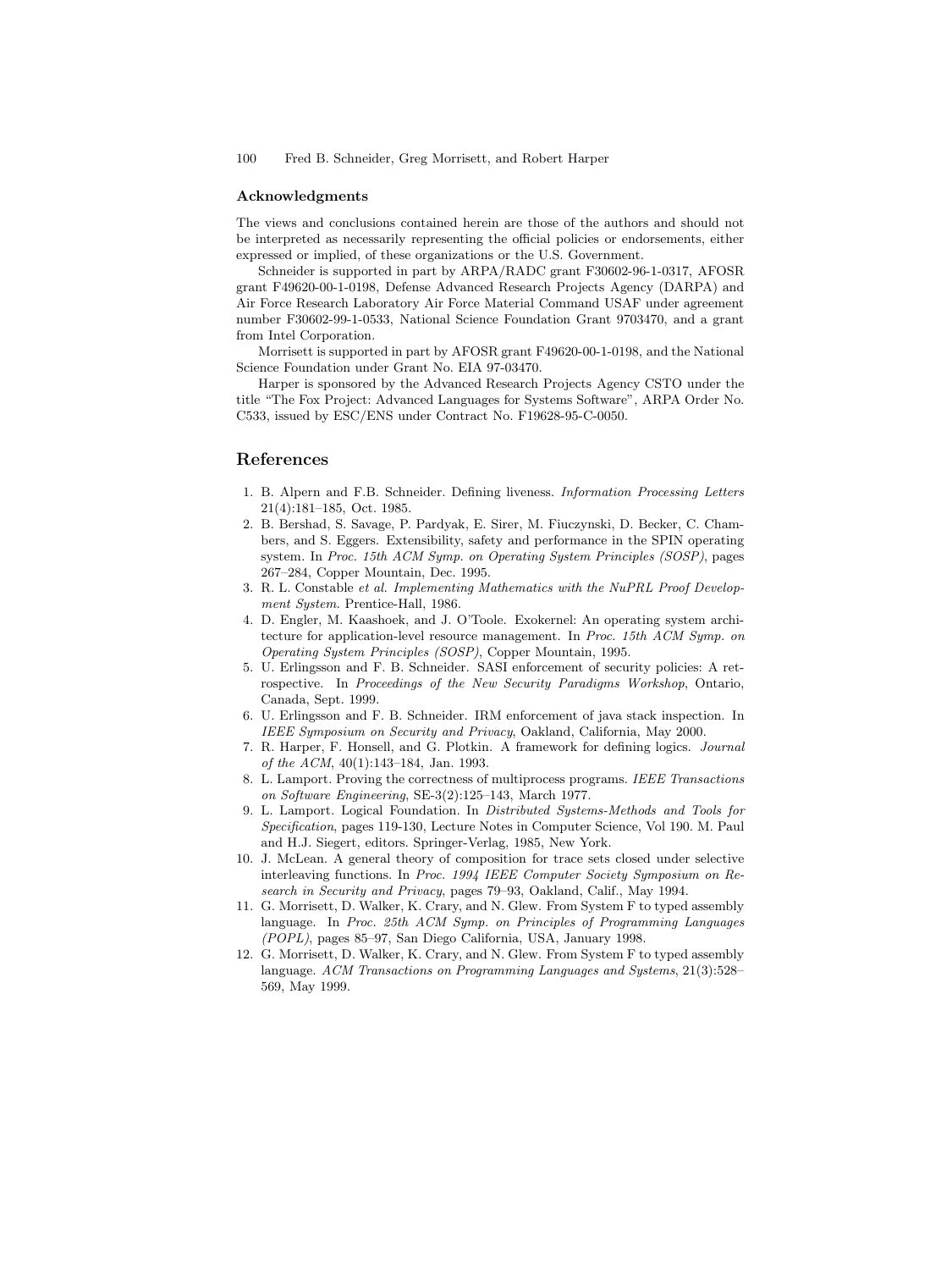#### **Acknowledgments**

The views and conclusions contained herein are those of the authors and should not be interpreted as necessarily representing the official policies or endorsements, either expressed or implied, of these organizations or the U.S. Government.

Schneider is supported in part by ARPA/RADC grant F30602-96-1-0317, AFOSR grant F49620-00-1-0198, Defense Advanced Research Projects Agency (DARPA) and Air Force Research Laboratory Air Force Material Command USAF under agreement number F30602-99-1-0533, National Science Foundation Grant 9703470, and a grant from Intel Corporation.

Morrisett is supported in part by AFOSR grant F49620-00-1-0198, and the National Science Foundation under Grant No. EIA 97-03470.

Harper is sponsored by the Advanced Research Projects Agency CSTO under the title "The Fox Project: Advanced Languages for Systems Software", ARPA Order No. C533, issued by ESC/ENS under Contract No. F19628-95-C-0050.

### <span id="page-14-0"></span>**References**

- 1. B. Alpern and F.B. Schneider. Defining liveness. *Information Processing Letters* 21(4):181–185, Oct. 1985.
- <span id="page-14-10"></span>2. B. Bershad, S. Savage, P. Pardyak, E. Sirer, M. Fiuczynski, D. Becker, C. Chambers, and S. Eggers. Extensibility, safety and performance in the SPIN operating system. In *Proc. 15th ACM Symp. on Operating System Principles (SOSP)*, pages 267–284, Copper Mountain, Dec. 1995.
- <span id="page-14-7"></span>3. R. L. Constable *et al. Implementing Mathematics with the NuPRL Proof Development System*. Prentice-Hall, 1986.
- <span id="page-14-11"></span>4. D. Engler, M. Kaashoek, and J. O'Toole. Exokernel: An operating system architecture for application-level resource management. In *Proc. 15th ACM Symp. on Operating System Principles (SOSP)*, Copper Mountain, 1995.
- <span id="page-14-5"></span>5. U. Erlingsson and F. B. Schneider. SASI enforcement of security policies: A retrospective. In *Proceedings of the New Security Paradigms Workshop*, Ontario, Canada, Sept. 1999.
- <span id="page-14-4"></span>6. U. Erlingsson and F. B. Schneider. IRM enforcement of java stack inspection. In *IEEE Symposium on Security and Privacy*, Oakland, California, May 2000.
- <span id="page-14-9"></span>7. R. Harper, F. Honsell, and G. Plotkin. A framework for defining logics. *Journal of the ACM*, 40(1):143–184, Jan. 1993.
- <span id="page-14-2"></span>8. L. Lamport. Proving the correctness ofmultiprocess programs. *IEEE Transactions on Software Engineering*, SE-3(2):125–143, March 1977.
- <span id="page-14-3"></span>9. L. Lamport. Logical Foundation. In *Distributed Systems-Methods and Tools for Specification*, pages 119-130, Lecture Notes in Computer Science, Vol 190. M. Paul and H.J. Siegert, editors. Springer-Verlag, 1985, New York.
- <span id="page-14-1"></span>10. J. McLean. A general theory of composition for trace sets closed under selective interleaving functions. In *Proc. 1994 IEEE Computer Society Symposium on Research in Security and Privacy*, pages 79–93, Oakland, Calif., May 1994.
- <span id="page-14-6"></span>11. G. Morrisett, D. Walker, K. Crary, and N. Glew. From System F to typed assembly language. In *Proc. 25th ACM Symp. on Principles of Programming Languages (POPL)*, pages 85–97, San Diego California, USA, January 1998.
- <span id="page-14-8"></span>12. G. Morrisett, D. Walker, K. Crary, and N. Glew. From System F to typed assembly language. *ACM Transactions on Programming Languages and Systems*, 21(3):528– 569, May 1999.